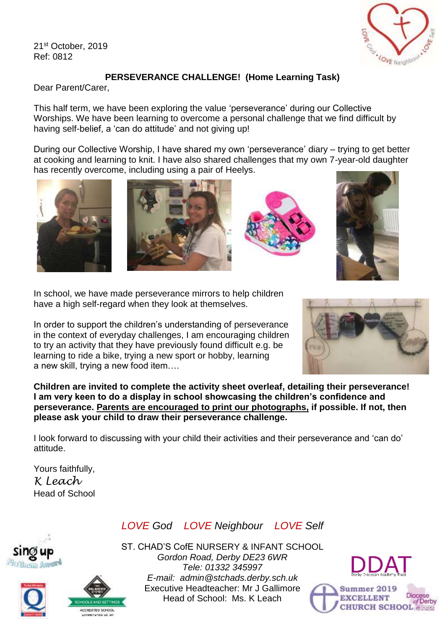21st October, 2019 Ref: 0812



## **PERSEVERANCE CHALLENGE! (Home Learning Task)**

Dear Parent/Carer,

This half term, we have been exploring the value 'perseverance' during our Collective Worships. We have been learning to overcome a personal challenge that we find difficult by having self-belief, a 'can do attitude' and not giving up!

During our Collective Worship, I have shared my own 'perseverance' diary – trying to get better at cooking and learning to knit. I have also shared challenges that my own 7-year-old daughter has recently overcome, including using a pair of Heelys.





In school, we have made perseverance mirrors to help children have a high self-regard when they look at themselves.

In order to support the children's understanding of perseverance in the context of everyday challenges, I am encouraging children to try an activity that they have previously found difficult e.g. be learning to ride a bike, trying a new sport or hobby, learning a new skill, trying a new food item….



**Children are invited to complete the activity sheet overleaf, detailing their perseverance! I am very keen to do a display in school showcasing the children's confidence and perseverance. Parents are encouraged to print our photographs, if possible. If not, then please ask your child to draw their perseverance challenge.** 

I look forward to discussing with your child their activities and their perseverance and 'can do' attitude.

Yours faithfully, *K Leach* Head of School

## *LOVE God LOVE Neighbour LOVE Self*







ST. CHAD'S CofE NURSERY & INFANT SCHOOL *Gordon Road, Derby DE23 6WR Tele: 01332 345997 E-mail: admin@stchads.derby.sch.uk* Executive Headteacher: Mr J Gallimore Head of School: Ms. K Leach